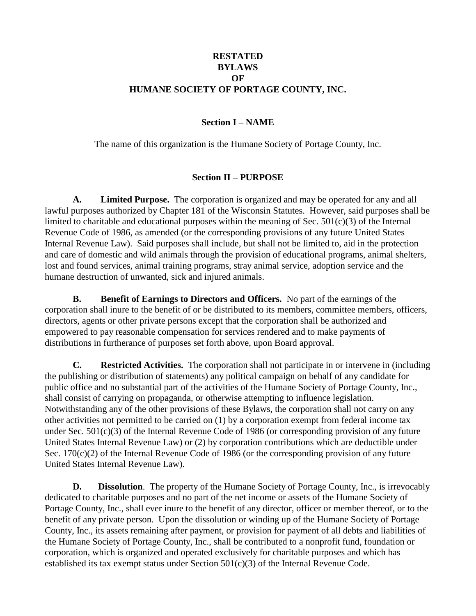## **RESTATED BYLAWS OF HUMANE SOCIETY OF PORTAGE COUNTY, INC.**

### **Section I – NAME**

The name of this organization is the Humane Society of Portage County, Inc.

### **Section II – PURPOSE**

**A. Limited Purpose.** The corporation is organized and may be operated for any and all lawful purposes authorized by Chapter 181 of the Wisconsin Statutes. However, said purposes shall be limited to charitable and educational purposes within the meaning of Sec.  $501(c)(3)$  of the Internal Revenue Code of 1986, as amended (or the corresponding provisions of any future United States Internal Revenue Law). Said purposes shall include, but shall not be limited to, aid in the protection and care of domestic and wild animals through the provision of educational programs, animal shelters, lost and found services, animal training programs, stray animal service, adoption service and the humane destruction of unwanted, sick and injured animals.

**B. Benefit of Earnings to Directors and Officers.** No part of the earnings of the corporation shall inure to the benefit of or be distributed to its members, committee members, officers, directors, agents or other private persons except that the corporation shall be authorized and empowered to pay reasonable compensation for services rendered and to make payments of distributions in furtherance of purposes set forth above, upon Board approval.

**C. Restricted Activities.** The corporation shall not participate in or intervene in (including the publishing or distribution of statements) any political campaign on behalf of any candidate for public office and no substantial part of the activities of the Humane Society of Portage County, Inc., shall consist of carrying on propaganda, or otherwise attempting to influence legislation. Notwithstanding any of the other provisions of these Bylaws, the corporation shall not carry on any other activities not permitted to be carried on (1) by a corporation exempt from federal income tax under Sec. 501(c)(3) of the Internal Revenue Code of 1986 (or corresponding provision of any future United States Internal Revenue Law) or (2) by corporation contributions which are deductible under Sec. 170(c)(2) of the Internal Revenue Code of 1986 (or the corresponding provision of any future United States Internal Revenue Law).

**D. Dissolution**. The property of the Humane Society of Portage County, Inc., is irrevocably dedicated to charitable purposes and no part of the net income or assets of the Humane Society of Portage County, Inc., shall ever inure to the benefit of any director, officer or member thereof, or to the benefit of any private person. Upon the dissolution or winding up of the Humane Society of Portage County, Inc., its assets remaining after payment, or provision for payment of all debts and liabilities of the Humane Society of Portage County, Inc., shall be contributed to a nonprofit fund, foundation or corporation, which is organized and operated exclusively for charitable purposes and which has established its tax exempt status under Section 501(c)(3) of the Internal Revenue Code.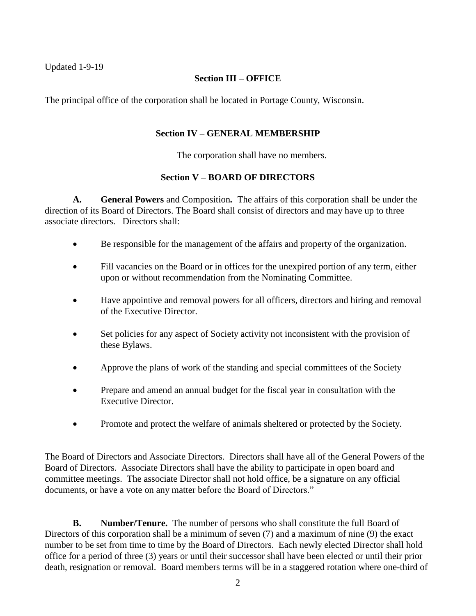Updated 1-9-19

## **Section III – OFFICE**

The principal office of the corporation shall be located in Portage County, Wisconsin.

## **Section IV – GENERAL MEMBERSHIP**

The corporation shall have no members.

## **Section V – BOARD OF DIRECTORS**

**A. General Powers** and Composition*.* The affairs of this corporation shall be under the direction of its Board of Directors. The Board shall consist of directors and may have up to three associate directors. Directors shall:

- Be responsible for the management of the affairs and property of the organization.
- Fill vacancies on the Board or in offices for the unexpired portion of any term, either upon or without recommendation from the Nominating Committee.
- Have appointive and removal powers for all officers, directors and hiring and removal of the Executive Director.
- Set policies for any aspect of Society activity not inconsistent with the provision of these Bylaws.
- Approve the plans of work of the standing and special committees of the Society
- Prepare and amend an annual budget for the fiscal year in consultation with the Executive Director.
- Promote and protect the welfare of animals sheltered or protected by the Society.

The Board of Directors and Associate Directors. Directors shall have all of the General Powers of the Board of Directors. Associate Directors shall have the ability to participate in open board and committee meetings. The associate Director shall not hold office, be a signature on any official documents, or have a vote on any matter before the Board of Directors."

**B. Number/Tenure.** The number of persons who shall constitute the full Board of Directors of this corporation shall be a minimum of seven (7) and a maximum of nine (9) the exact number to be set from time to time by the Board of Directors. Each newly elected Director shall hold office for a period of three (3) years or until their successor shall have been elected or until their prior death, resignation or removal. Board members terms will be in a staggered rotation where one-third of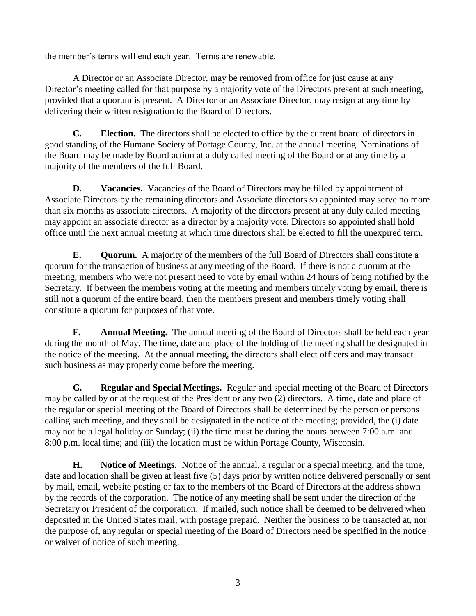the member's terms will end each year. Terms are renewable.

A Director or an Associate Director, may be removed from office for just cause at any Director's meeting called for that purpose by a majority vote of the Directors present at such meeting, provided that a quorum is present. A Director or an Associate Director, may resign at any time by delivering their written resignation to the Board of Directors.

**C. Election.** The directors shall be elected to office by the current board of directors in good standing of the Humane Society of Portage County, Inc. at the annual meeting. Nominations of the Board may be made by Board action at a duly called meeting of the Board or at any time by a majority of the members of the full Board.

**D. Vacancies.** Vacancies of the Board of Directors may be filled by appointment of Associate Directors by the remaining directors and Associate directors so appointed may serve no more than six months as associate directors. A majority of the directors present at any duly called meeting may appoint an associate director as a director by a majority vote. Directors so appointed shall hold office until the next annual meeting at which time directors shall be elected to fill the unexpired term.

**E. Quorum.** A majority of the members of the full Board of Directors shall constitute a quorum for the transaction of business at any meeting of the Board. If there is not a quorum at the meeting, members who were not present need to vote by email within 24 hours of being notified by the Secretary. If between the members voting at the meeting and members timely voting by email, there is still not a quorum of the entire board, then the members present and members timely voting shall constitute a quorum for purposes of that vote.

**F. Annual Meeting.** The annual meeting of the Board of Directors shall be held each year during the month of May. The time, date and place of the holding of the meeting shall be designated in the notice of the meeting. At the annual meeting, the directors shall elect officers and may transact such business as may properly come before the meeting.

**G***.* **Regular and Special Meetings.** Regular and special meeting of the Board of Directors may be called by or at the request of the President or any two (2) directors. A time, date and place of the regular or special meeting of the Board of Directors shall be determined by the person or persons calling such meeting, and they shall be designated in the notice of the meeting; provided, the (i) date may not be a legal holiday or Sunday; (ii) the time must be during the hours between 7:00 a.m. and 8:00 p.m. local time; and (iii) the location must be within Portage County, Wisconsin.

**H. Notice of Meetings.** Notice of the annual, a regular or a special meeting, and the time, date and location shall be given at least five (5) days prior by written notice delivered personally or sent by mail, email, website posting or fax to the members of the Board of Directors at the address shown by the records of the corporation. The notice of any meeting shall be sent under the direction of the Secretary or President of the corporation. If mailed, such notice shall be deemed to be delivered when deposited in the United States mail, with postage prepaid. Neither the business to be transacted at, nor the purpose of, any regular or special meeting of the Board of Directors need be specified in the notice or waiver of notice of such meeting.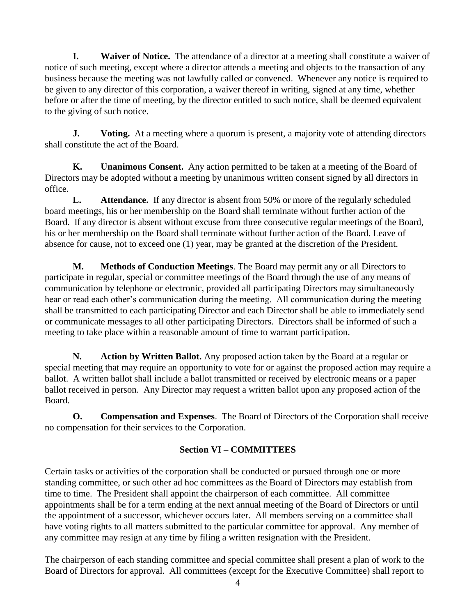**I. Waiver of Notice.** The attendance of a director at a meeting shall constitute a waiver of notice of such meeting, except where a director attends a meeting and objects to the transaction of any business because the meeting was not lawfully called or convened. Whenever any notice is required to be given to any director of this corporation, a waiver thereof in writing, signed at any time, whether before or after the time of meeting, by the director entitled to such notice, shall be deemed equivalent to the giving of such notice.

**J. Voting.** At a meeting where a quorum is present, a majority vote of attending directors shall constitute the act of the Board.

**K. Unanimous Consent.** Any action permitted to be taken at a meeting of the Board of Directors may be adopted without a meeting by unanimous written consent signed by all directors in office.

**L. Attendance.** If any director is absent from 50% or more of the regularly scheduled board meetings, his or her membership on the Board shall terminate without further action of the Board. If any director is absent without excuse from three consecutive regular meetings of the Board, his or her membership on the Board shall terminate without further action of the Board. Leave of absence for cause, not to exceed one (1) year, may be granted at the discretion of the President.

**M. Methods of Conduction Meetings**. The Board may permit any or all Directors to participate in regular, special or committee meetings of the Board through the use of any means of communication by telephone or electronic, provided all participating Directors may simultaneously hear or read each other's communication during the meeting. All communication during the meeting shall be transmitted to each participating Director and each Director shall be able to immediately send or communicate messages to all other participating Directors. Directors shall be informed of such a meeting to take place within a reasonable amount of time to warrant participation.

**N. Action by Written Ballot.** Any proposed action taken by the Board at a regular or special meeting that may require an opportunity to vote for or against the proposed action may require a ballot. A written ballot shall include a ballot transmitted or received by electronic means or a paper ballot received in person. Any Director may request a written ballot upon any proposed action of the Board.

**O. Compensation and Expenses**. The Board of Directors of the Corporation shall receive no compensation for their services to the Corporation.

# **Section VI – COMMITTEES**

Certain tasks or activities of the corporation shall be conducted or pursued through one or more standing committee, or such other ad hoc committees as the Board of Directors may establish from time to time. The President shall appoint the chairperson of each committee. All committee appointments shall be for a term ending at the next annual meeting of the Board of Directors or until the appointment of a successor, whichever occurs later. All members serving on a committee shall have voting rights to all matters submitted to the particular committee for approval. Any member of any committee may resign at any time by filing a written resignation with the President.

The chairperson of each standing committee and special committee shall present a plan of work to the Board of Directors for approval. All committees (except for the Executive Committee) shall report to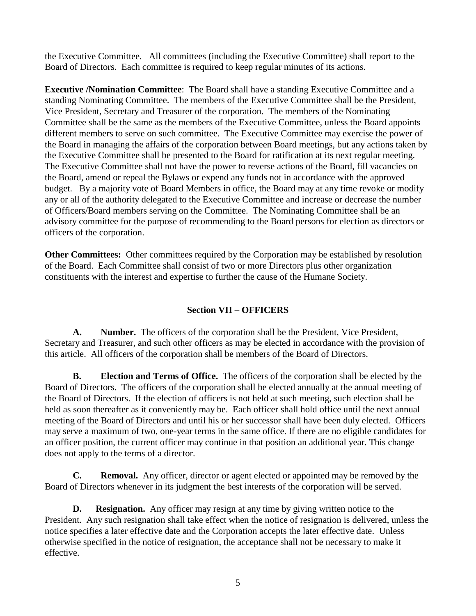the Executive Committee. All committees (including the Executive Committee) shall report to the Board of Directors. Each committee is required to keep regular minutes of its actions.

**Executive /Nomination Committee**: The Board shall have a standing Executive Committee and a standing Nominating Committee. The members of the Executive Committee shall be the President, Vice President, Secretary and Treasurer of the corporation. The members of the Nominating Committee shall be the same as the members of the Executive Committee, unless the Board appoints different members to serve on such committee. The Executive Committee may exercise the power of the Board in managing the affairs of the corporation between Board meetings, but any actions taken by the Executive Committee shall be presented to the Board for ratification at its next regular meeting. The Executive Committee shall not have the power to reverse actions of the Board, fill vacancies on the Board, amend or repeal the Bylaws or expend any funds not in accordance with the approved budget. By a majority vote of Board Members in office, the Board may at any time revoke or modify any or all of the authority delegated to the Executive Committee and increase or decrease the number of Officers/Board members serving on the Committee. The Nominating Committee shall be an advisory committee for the purpose of recommending to the Board persons for election as directors or officers of the corporation.

**Other Committees:** Other committees required by the Corporation may be established by resolution of the Board. Each Committee shall consist of two or more Directors plus other organization constituents with the interest and expertise to further the cause of the Humane Society.

## **Section VII – OFFICERS**

**A. Number.** The officers of the corporation shall be the President, Vice President, Secretary and Treasurer, and such other officers as may be elected in accordance with the provision of this article. All officers of the corporation shall be members of the Board of Directors.

**B. Election and Terms of Office.** The officers of the corporation shall be elected by the Board of Directors. The officers of the corporation shall be elected annually at the annual meeting of the Board of Directors. If the election of officers is not held at such meeting, such election shall be held as soon thereafter as it conveniently may be. Each officer shall hold office until the next annual meeting of the Board of Directors and until his or her successor shall have been duly elected. Officers may serve a maximum of two, one-year terms in the same office. If there are no eligible candidates for an officer position, the current officer may continue in that position an additional year. This change does not apply to the terms of a director.

**C. Removal.** Any officer, director or agent elected or appointed may be removed by the Board of Directors whenever in its judgment the best interests of the corporation will be served.

**D.** Resignation. Any officer may resign at any time by giving written notice to the President. Any such resignation shall take effect when the notice of resignation is delivered, unless the notice specifies a later effective date and the Corporation accepts the later effective date. Unless otherwise specified in the notice of resignation, the acceptance shall not be necessary to make it effective.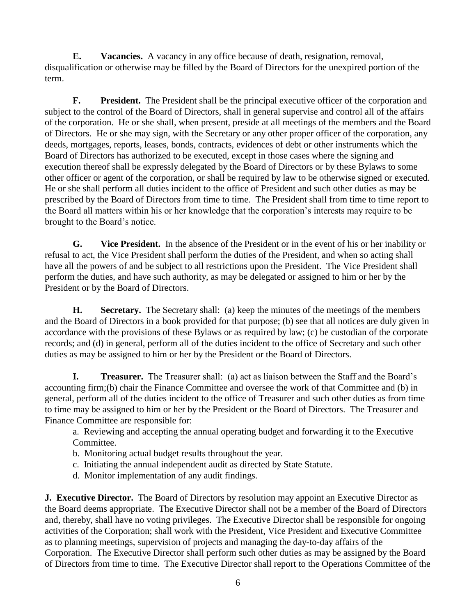**E. Vacancies.** A vacancy in any office because of death, resignation, removal, disqualification or otherwise may be filled by the Board of Directors for the unexpired portion of the term.

**F. President.** The President shall be the principal executive officer of the corporation and subject to the control of the Board of Directors, shall in general supervise and control all of the affairs of the corporation. He or she shall, when present, preside at all meetings of the members and the Board of Directors. He or she may sign, with the Secretary or any other proper officer of the corporation, any deeds, mortgages, reports, leases, bonds, contracts, evidences of debt or other instruments which the Board of Directors has authorized to be executed, except in those cases where the signing and execution thereof shall be expressly delegated by the Board of Directors or by these Bylaws to some other officer or agent of the corporation, or shall be required by law to be otherwise signed or executed. He or she shall perform all duties incident to the office of President and such other duties as may be prescribed by the Board of Directors from time to time. The President shall from time to time report to the Board all matters within his or her knowledge that the corporation's interests may require to be brought to the Board's notice.

**G. Vice President.** In the absence of the President or in the event of his or her inability or refusal to act, the Vice President shall perform the duties of the President, and when so acting shall have all the powers of and be subject to all restrictions upon the President. The Vice President shall perform the duties, and have such authority, as may be delegated or assigned to him or her by the President or by the Board of Directors.

**H. Secretary.** The Secretary shall: (a) keep the minutes of the meetings of the members and the Board of Directors in a book provided for that purpose; (b) see that all notices are duly given in accordance with the provisions of these Bylaws or as required by law; (c) be custodian of the corporate records; and (d) in general, perform all of the duties incident to the office of Secretary and such other duties as may be assigned to him or her by the President or the Board of Directors.

**I. Treasurer.** The Treasurer shall: (a) act as liaison between the Staff and the Board's accounting firm;(b) chair the Finance Committee and oversee the work of that Committee and (b) in general, perform all of the duties incident to the office of Treasurer and such other duties as from time to time may be assigned to him or her by the President or the Board of Directors. The Treasurer and Finance Committee are responsible for:

a. Reviewing and accepting the annual operating budget and forwarding it to the Executive Committee.

- b. Monitoring actual budget results throughout the year.
- c. Initiating the annual independent audit as directed by State Statute.
- d. Monitor implementation of any audit findings.

**J. Executive Director.** The Board of Directors by resolution may appoint an Executive Director as the Board deems appropriate. The Executive Director shall not be a member of the Board of Directors and, thereby, shall have no voting privileges. The Executive Director shall be responsible for ongoing activities of the Corporation; shall work with the President, Vice President and Executive Committee as to planning meetings, supervision of projects and managing the day-to-day affairs of the Corporation. The Executive Director shall perform such other duties as may be assigned by the Board of Directors from time to time. The Executive Director shall report to the Operations Committee of the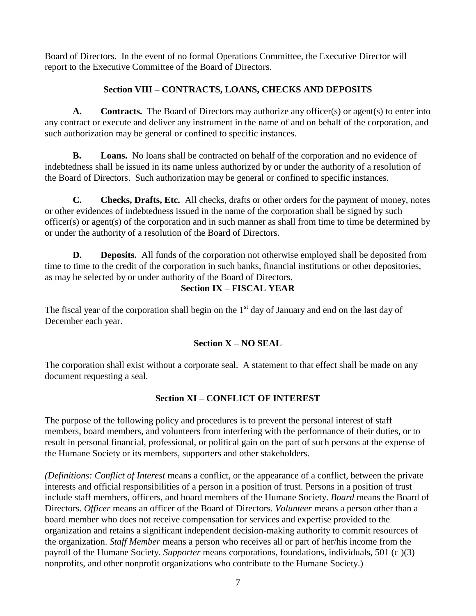Board of Directors. In the event of no formal Operations Committee, the Executive Director will report to the Executive Committee of the Board of Directors.

# **Section VIII – CONTRACTS, LOANS, CHECKS AND DEPOSITS**

**A. Contracts.** The Board of Directors may authorize any officer(s) or agent(s) to enter into any contract or execute and deliver any instrument in the name of and on behalf of the corporation, and such authorization may be general or confined to specific instances.

**B. Loans.** No loans shall be contracted on behalf of the corporation and no evidence of indebtedness shall be issued in its name unless authorized by or under the authority of a resolution of the Board of Directors. Such authorization may be general or confined to specific instances.

**C. Checks, Drafts, Etc.** All checks, drafts or other orders for the payment of money, notes or other evidences of indebtedness issued in the name of the corporation shall be signed by such officer(s) or agent(s) of the corporation and in such manner as shall from time to time be determined by or under the authority of a resolution of the Board of Directors.

**D. Deposits.** All funds of the corporation not otherwise employed shall be deposited from time to time to the credit of the corporation in such banks, financial institutions or other depositories, as may be selected by or under authority of the Board of Directors.

# **Section IX – FISCAL YEAR**

The fiscal year of the corporation shall begin on the  $1<sup>st</sup>$  day of January and end on the last day of December each year.

# **Section X – NO SEAL**

The corporation shall exist without a corporate seal. A statement to that effect shall be made on any document requesting a seal.

# **Section XI – CONFLICT OF INTEREST**

The purpose of the following policy and procedures is to prevent the personal interest of staff members, board members, and volunteers from interfering with the performance of their duties, or to result in personal financial, professional, or political gain on the part of such persons at the expense of the Humane Society or its members, supporters and other stakeholders.

*(Definitions: Conflict of Interest* means a conflict, or the appearance of a conflict, between the private interests and official responsibilities of a person in a position of trust. Persons in a position of trust include staff members, officers, and board members of the Humane Society. *Board* means the Board of Directors. *Officer* means an officer of the Board of Directors. *Volunteer* means a person other than a board member who does not receive compensation for services and expertise provided to the organization and retains a significant independent decision-making authority to commit resources of the organization. *Staff Member* means a person who receives all or part of her/his income from the payroll of the Humane Society. *Supporter* means corporations, foundations, individuals, 501 (c )(3) nonprofits, and other nonprofit organizations who contribute to the Humane Society.)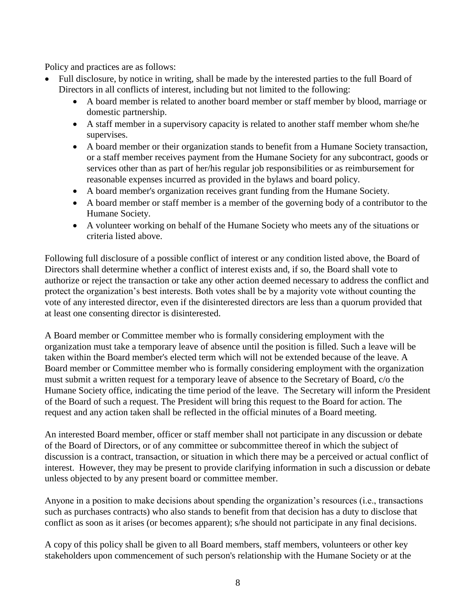Policy and practices are as follows:

- Full disclosure, by notice in writing, shall be made by the interested parties to the full Board of Directors in all conflicts of interest, including but not limited to the following:
	- A board member is related to another board member or staff member by blood, marriage or domestic partnership.
	- A staff member in a supervisory capacity is related to another staff member whom she/he supervises.
	- A board member or their organization stands to benefit from a Humane Society transaction, or a staff member receives payment from the Humane Society for any subcontract, goods or services other than as part of her/his regular job responsibilities or as reimbursement for reasonable expenses incurred as provided in the bylaws and board policy.
	- A board member's organization receives grant funding from the Humane Society.
	- A board member or staff member is a member of the governing body of a contributor to the Humane Society.
	- A volunteer working on behalf of the Humane Society who meets any of the situations or criteria listed above.

Following full disclosure of a possible conflict of interest or any condition listed above, the Board of Directors shall determine whether a conflict of interest exists and, if so, the Board shall vote to authorize or reject the transaction or take any other action deemed necessary to address the conflict and protect the organization's best interests. Both votes shall be by a majority vote without counting the vote of any interested director, even if the disinterested directors are less than a quorum provided that at least one consenting director is disinterested.

A Board member or Committee member who is formally considering employment with the organization must take a temporary leave of absence until the position is filled. Such a leave will be taken within the Board member's elected term which will not be extended because of the leave. A Board member or Committee member who is formally considering employment with the organization must submit a written request for a temporary leave of absence to the Secretary of Board, c/o the Humane Society office, indicating the time period of the leave. The Secretary will inform the President of the Board of such a request. The President will bring this request to the Board for action. The request and any action taken shall be reflected in the official minutes of a Board meeting.

An interested Board member, officer or staff member shall not participate in any discussion or debate of the Board of Directors, or of any committee or subcommittee thereof in which the subject of discussion is a contract, transaction, or situation in which there may be a perceived or actual conflict of interest. However, they may be present to provide clarifying information in such a discussion or debate unless objected to by any present board or committee member.

Anyone in a position to make decisions about spending the organization's resources (i.e., transactions such as purchases contracts) who also stands to benefit from that decision has a duty to disclose that conflict as soon as it arises (or becomes apparent); s/he should not participate in any final decisions.

A copy of this policy shall be given to all Board members, staff members, volunteers or other key stakeholders upon commencement of such person's relationship with the Humane Society or at the